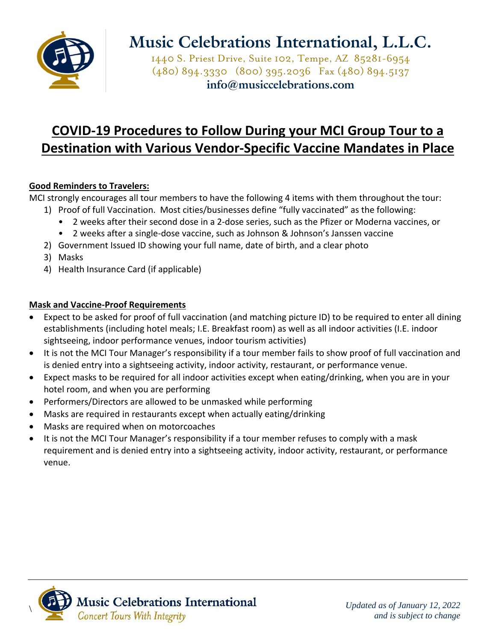

1440 S. Priest Drive, Suite 102, Tempe, AZ 85281-6954 (480) 894.3330 (800) 395.2036 Fax (480) 894.5137 **info@musiccelebrations.com**

### **COVID-19 Procedures to Follow During your MCI Group Tour to a Destination with Various Vendor-Specific Vaccine Mandates in Place**

### **Good Reminders to Travelers:**

MCI strongly encourages all tour members to have the following 4 items with them throughout the tour:

- 1) Proof of full Vaccination. Most cities/businesses define "fully vaccinated" as the following:
	- 2 weeks after their second dose in a 2-dose series, such as the Pfizer or Moderna vaccines, or
	- 2 weeks after a single-dose vaccine, such as Johnson & Johnson's Janssen vaccine
- 2) Government Issued ID showing your full name, date of birth, and a clear photo
- 3) Masks
- 4) Health Insurance Card (if applicable)

### **Mask and Vaccine-Proof Requirements**

- Expect to be asked for proof of full vaccination (and matching picture ID) to be required to enter all dining establishments (including hotel meals; I.E. Breakfast room) as well as all indoor activities (I.E. indoor sightseeing, indoor performance venues, indoor tourism activities)
- It is not the MCI Tour Manager's responsibility if a tour member fails to show proof of full vaccination and is denied entry into a sightseeing activity, indoor activity, restaurant, or performance venue.
- Expect masks to be required for all indoor activities except when eating/drinking, when you are in your hotel room, and when you are performing
- Performers/Directors are allowed to be unmasked while performing
- Masks are required in restaurants except when actually eating/drinking
- Masks are required when on motorcoaches
- It is not the MCI Tour Manager's responsibility if a tour member refuses to comply with a mask requirement and is denied entry into a sightseeing activity, indoor activity, restaurant, or performance venue.

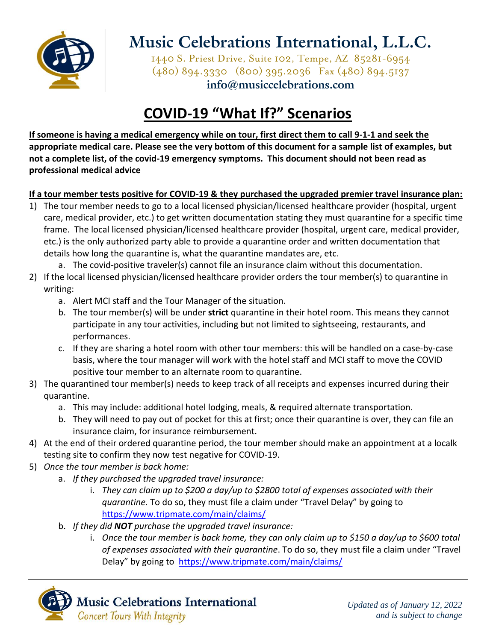

1440 S. Priest Drive, Suite 102, Tempe, AZ 85281-6954 (480) 894.3330 (800) 395.2036 Fax (480) 894.5137 **info@musiccelebrations.com**

### **COVID-19 "What If?" Scenarios**

**If someone is having a medical emergency while on tour, first direct them to call 9-1-1 and seek the appropriate medical care. Please see the very bottom of this document for a sample list of examples, but not a complete list, of the covid-19 emergency symptoms. This document should not been read as professional medical advice** 

### **If a tour member tests positive for COVID-19 & they purchased the upgraded premier travel insurance plan:**

1) The tour member needs to go to a local licensed physician/licensed healthcare provider (hospital, urgent care, medical provider, etc.) to get written documentation stating they must quarantine for a specific time frame. The local licensed physician/licensed healthcare provider (hospital, urgent care, medical provider, etc.) is the only authorized party able to provide a quarantine order and written documentation that details how long the quarantine is, what the quarantine mandates are, etc.

a. The covid-positive traveler(s) cannot file an insurance claim without this documentation.

- 2) If the local licensed physician/licensed healthcare provider orders the tour member(s) to quarantine in writing:
	- a. Alert MCI staff and the Tour Manager of the situation.
	- b. The tour member(s) will be under **strict** quarantine in their hotel room. This means they cannot participate in any tour activities, including but not limited to sightseeing, restaurants, and performances.
	- c. If they are sharing a hotel room with other tour members: this will be handled on a case-by-case basis, where the tour manager will work with the hotel staff and MCI staff to move the COVID positive tour member to an alternate room to quarantine.
- 3) The quarantined tour member(s) needs to keep track of all receipts and expenses incurred during their quarantine.
	- a. This may include: additional hotel lodging, meals, & required alternate transportation.
	- b. They will need to pay out of pocket for this at first; once their quarantine is over, they can file an insurance claim, for insurance reimbursement.
- 4) At the end of their ordered quarantine period, the tour member should make an appointment at a localk testing site to confirm they now test negative for COVID-19.
- 5) *Once the tour member is back home:*
	- a. *If they purchased the upgraded travel insurance:* 
		- i. *They can claim up to \$200 a day/up to \$2800 total of expenses associated with their quarantine.* To do so, they must file a claim under "Travel Delay" by going to <https://www.tripmate.com/main/claims/>
	- b. *If they did NOT purchase the upgraded travel insurance:* 
		- i. *Once the tour member is back home, they can only claim up to \$150 a day/up to \$600 total of expenses associated with their quarantine*. To do so, they must file a claim under "Travel Delay" by going to <https://www.tripmate.com/main/claims/>

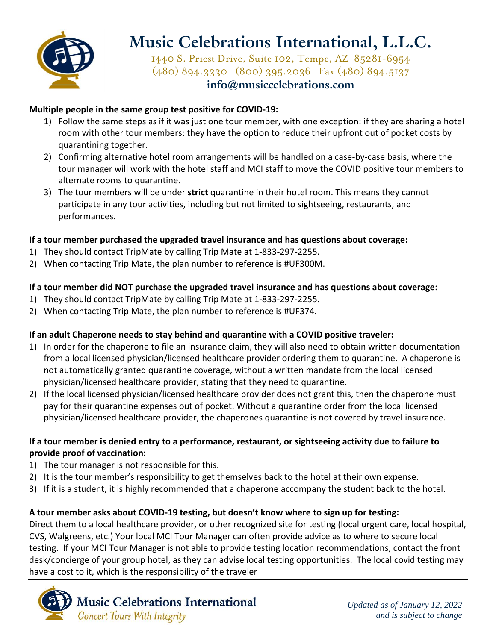

1440 S. Priest Drive, Suite 102, Tempe, AZ 85281-6954 (480) 894.3330 (800) 395.2036 Fax (480) 894.5137 **info@musiccelebrations.com**

#### **Multiple people in the same group test positive for COVID-19:**

- 1) Follow the same steps as if it was just one tour member, with one exception: if they are sharing a hotel room with other tour members: they have the option to reduce their upfront out of pocket costs by quarantining together.
- 2) Confirming alternative hotel room arrangements will be handled on a case-by-case basis, where the tour manager will work with the hotel staff and MCI staff to move the COVID positive tour members to alternate rooms to quarantine.
- 3) The tour members will be under **strict** quarantine in their hotel room. This means they cannot participate in any tour activities, including but not limited to sightseeing, restaurants, and performances.

#### **If a tour member purchased the upgraded travel insurance and has questions about coverage:**

- 1) They should contact TripMate by calling Trip Mate at 1-833-297-2255.
- 2) When contacting Trip Mate, the plan number to reference is #UF300M.

#### **If a tour member did NOT purchase the upgraded travel insurance and has questions about coverage:**

- 1) They should contact TripMate by calling Trip Mate at 1-833-297-2255.
- 2) When contacting Trip Mate, the plan number to reference is #UF374.

#### **If an adult Chaperone needs to stay behind and quarantine with a COVID positive traveler:**

- 1) In order for the chaperone to file an insurance claim, they will also need to obtain written documentation from a local licensed physician/licensed healthcare provider ordering them to quarantine. A chaperone is not automatically granted quarantine coverage, without a written mandate from the local licensed physician/licensed healthcare provider, stating that they need to quarantine.
- 2) If the local licensed physician/licensed healthcare provider does not grant this, then the chaperone must pay for their quarantine expenses out of pocket. Without a quarantine order from the local licensed physician/licensed healthcare provider, the chaperones quarantine is not covered by travel insurance.

#### **If a tour member is denied entry to a performance, restaurant, or sightseeing activity due to failure to provide proof of vaccination:**

- 1) The tour manager is not responsible for this.
- 2) It is the tour member's responsibility to get themselves back to the hotel at their own expense.
- 3) If it is a student, it is highly recommended that a chaperone accompany the student back to the hotel.

#### **A tour member asks about COVID-19 testing, but doesn't know where to sign up for testing:**

Direct them to a local healthcare provider, or other recognized site for testing (local urgent care, local hospital, CVS, Walgreens, etc.) Your local MCI Tour Manager can often provide advice as to where to secure local testing. If your MCI Tour Manager is not able to provide testing location recommendations, contact the front desk/concierge of your group hotel, as they can advise local testing opportunities. The local covid testing may have a cost to it, which is the responsibility of the traveler